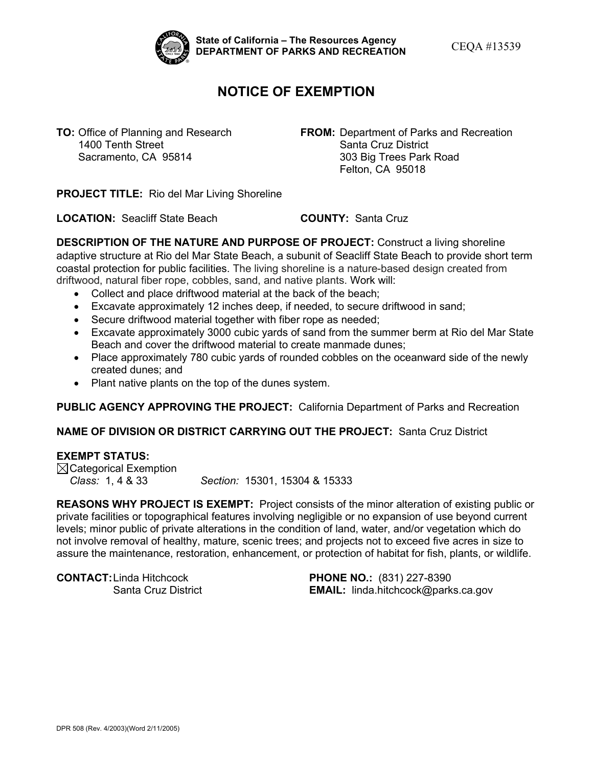

State of California – The Resources Agency<br>DEPARTMENT OF PARKS AND RECREATION **CEQA #13539** 

## **NOTICE OF EXEMPTION**

**TO:** Office of Planning and Research **FROM:** Department of Parks and Recreation<br> **FROM:** Department of Parks and Recreation<br>
Santa Cruz District Santa Cruz District Sacramento, CA 95814 303 Big Trees Park Road Felton, CA 95018

 **PROJECT TITLE:** Rio del Mar Living Shoreline

**LOCATION:** Seacliff State Beach **COUNTY:** Santa Cruz

 **DESCRIPTION OF THE NATURE AND PURPOSE OF PROJECT:** Construct a living shoreline driftwood, natural fiber rope, cobbles, sand, and native plants. Work will: adaptive structure at Rio del Mar State Beach, a subunit of Seacliff State Beach to provide short term coastal protection for public facilities. The living shoreline is a nature-based design created from

- Collect and place driftwood material at the back of the beach;
- Excavate approximately 12 inches deep, if needed, to secure driftwood in sand;
- Secure driftwood material together with fiber rope as needed;
- • Excavate approximately 3000 cubic yards of sand from the summer berm at Rio del Mar State Beach and cover the driftwood material to create manmade dunes;
- • Place approximately 780 cubic yards of rounded cobbles on the oceanward side of the newly created dunes; and
- Plant native plants on the top of the dunes system.

#### **PUBLIC AGENCY APPROVING THE PROJECT:** California Department of Parks and Recreation

### **NAME OF DIVISION OR DISTRICT CARRYING OUT THE PROJECT:** Santa Cruz District

#### **EXEMPT STATUS:**

Class: 1, 4 & 33  $\boxtimes$ Categorical Exemption *Class:* 1, 4 & 33 *Section:* 15301, 15304 & 15333

 **REASONS WHY PROJECT IS EXEMPT:** Project consists of the minor alteration of existing public or not involve removal of healthy, mature, scenic trees; and projects not to exceed five acres in size to private facilities or topographical features involving negligible or no expansion of use beyond current levels; minor public of private alterations in the condition of land, water, and/or vegetation which do assure the maintenance, restoration, enhancement, or protection of habitat for fish, plants, or wildlife.

 **CONTACT:**Linda Hitchcock **PHONE NO.:** (831) 227-8390

Santa Cruz District **EMAIL:** [linda.hitchcock@parks.ca.gov](mailto:linda.hitchcock@parks.ca.gov)